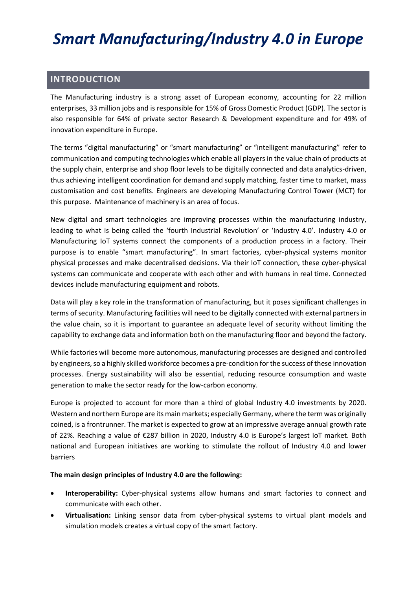# *Smart Manufacturing/Industry 4.0 in Europe*

# **INTRODUCTION**

The Manufacturing industry is a strong asset of European economy, accounting for 22 million enterprises, 33 million jobs and is responsible for 15% of Gross Domestic Product (GDP). The sector is also responsible for 64% of private sector Research & Development expenditure and for 49% of innovation expenditure in Europe.

The terms "digital manufacturing" or "smart manufacturing" or "intelligent manufacturing" refer to communication and computing technologies which enable all players in the value chain of products at the supply chain, enterprise and shop floor levels to be digitally connected and data analytics-driven, thus achieving intelligent coordination for demand and supply matching, faster time to market, mass customisation and cost benefits. Engineers are developing Manufacturing Control Tower (MCT) for this purpose. Maintenance of machinery is an area of focus.

New digital and smart technologies are improving processes within the manufacturing industry, leading to what is being called the 'fourth Industrial Revolution' or 'Industry 4.0'. Industry 4.0 or Manufacturing IoT systems connect the components of a production process in a factory. Their purpose is to enable "smart manufacturing". In smart factories, cyber-physical systems monitor physical processes and make decentralised decisions. Via their IoT connection, these cyber-physical systems can communicate and cooperate with each other and with humans in real time. Connected devices include manufacturing equipment and robots.

Data will play a key role in the transformation of manufacturing, but it poses significant challenges in terms of security. Manufacturing facilities will need to be digitally connected with external partners in the value chain, so it is important to guarantee an adequate level of security without limiting the capability to exchange data and information both on the manufacturing floor and beyond the factory.

While factories will become more autonomous, manufacturing processes are designed and controlled by engineers, so a highly skilled workforce becomes a pre-condition for the success of these innovation processes. Energy sustainability will also be essential, reducing resource consumption and waste generation to make the sector ready for the low-carbon economy.

Europe is projected to account for more than a third of global Industry 4.0 investments by 2020. Western and northern Europe are its main markets; especially Germany, where the term was originally coined, is a frontrunner. The market is expected to grow at an impressive average annual growth rate of 22%. Reaching a value of €287 billion in 2020, Industry 4.0 is Europe's largest IoT market. Both national and European initiatives are working to stimulate the rollout of Industry 4.0 and lower barriers

#### **The main design principles of Industry 4.0 are the following:**

- **Interoperability:** Cyber-physical systems allow humans and smart factories to connect and communicate with each other.
- **Virtualisation:** Linking sensor data from cyber-physical systems to virtual plant models and simulation models creates a virtual copy of the smart factory.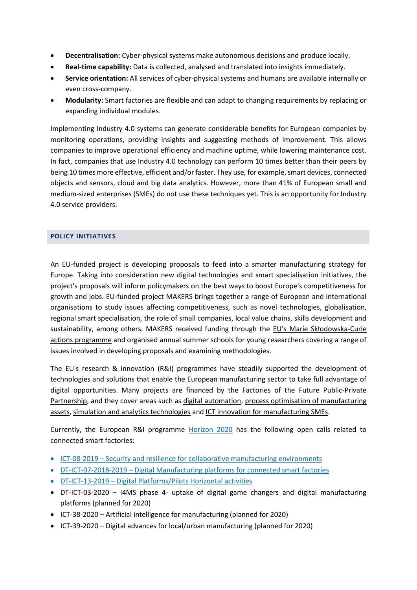- **Decentralisation:** Cyber-physical systems make autonomous decisions and produce locally.
- **Real-time capability:** Data is collected, analysed and translated into insights immediately.
- **Service orientation:** All services of cyber-physical systems and humans are available internally or even cross-company.
- **Modularity:** Smart factories are flexible and can adapt to changing requirements by replacing or expanding individual modules.

Implementing Industry 4.0 systems can generate considerable benefits for European companies by monitoring operations, providing insights and suggesting methods of improvement. This allows companies to improve operational efficiency and machine uptime, while lowering maintenance cost. In fact, companies that use Industry 4.0 technology can perform 10 times better than their peers by being 10 times more effective, efficient and/or faster. They use, for example, smart devices, connected objects and sensors, cloud and big data analytics. However, more than 41% of European small and medium-sized enterprises (SMEs) do not use these techniques yet. This is an opportunity for Industry 4.0 service providers.

#### **POLICY INITIATIVES**

An EU-funded project is developing proposals to feed into a smarter manufacturing strategy for Europe. Taking into consideration new digital technologies and smart specialisation initiatives, the project's proposals will inform policymakers on the best ways to boost Europe's competitiveness for growth and jobs. EU-funded project MAKERS brings together a range of European and international organisations to study issues affecting competitiveness, such as novel technologies, globalisation, regional smart specialisation, the role of small companies, local value chains, skills development and sustainability, among others. MAKERS received funding through the [EU's Marie Skłodowska](https://ec.europa.eu/programmes/horizon2020/en/h2020-section/marie-sklodowska-curie-actions)-Curie [actions programme](https://ec.europa.eu/programmes/horizon2020/en/h2020-section/marie-sklodowska-curie-actions) and organised annual summer schools for young researchers covering a range of issues involved in developing proposals and examining methodologies.

The EU's research & innovation (R&I) programmes have steadily supported the development of technologies and solutions that enable the European manufacturing sector to take full advantage of digital opportunities. Many projects are financed by the [Factories of the Future Public-Private](https://ec.europa.eu/digital-single-market/en/smart-manufacturing-0)  [Partnership,](https://ec.europa.eu/digital-single-market/en/smart-manufacturing-0) and they cover areas such as [digital automation,](http://cordis.europa.eu/programme/rcn/700116_en.html) [process optimisation of manufacturing](http://cordis.europa.eu/programme/rcn/665040_en.html)  [assets,](http://cordis.europa.eu/programme/rcn/665040_en.html) [simulation and analytics technologies](http://cordis.europa.eu/programme/rcn/665047_en.html) an[d ICT innovation for manufacturing SMEs.](https://ec.europa.eu/digital-single-market/en/smart-manufacturing-1)

Currently, the European R&I programme [Horizon 2020](https://ec.europa.eu/programmes/horizon2020/) has the following open calls related to connected smart factories:

- ICT-08-2019 [Security and resilience for collaborative manufacturing environments](http://ec.europa.eu/research/participants/portal/desktop/en/opportunities/h2020/topics/ict-08-2019.html)
- DT-ICT-07-2018-2019 [Digital Manufacturing platforms for connected smart factories](http://ec.europa.eu/research/participants/portal/desktop/en/opportunities/h2020/topics/dt-ict-07-2018-2019.html)
- DT-ICT-13-2019 [Digital Platforms/Pilots Horizontal activities](http://ec.europa.eu/research/participants/portal/desktop/en/opportunities/h2020/topics/dt-ict-13-2019.html)
- DT-ICT-03-2020 I4MS phase 4- uptake of digital game changers and digital manufacturing platforms (planned for 2020)
- ICT-38-2020 Artificial intelligence for manufacturing (planned for 2020)
- ICT-39-2020 Digital advances for local/urban manufacturing (planned for 2020)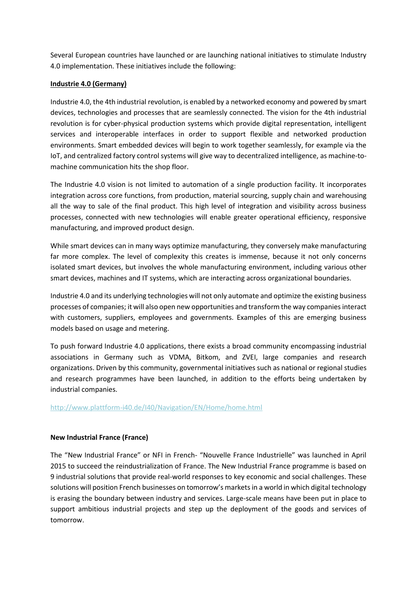Several European countries have launched or are launching national initiatives to stimulate Industry 4.0 implementation. These initiatives include the following:

## **Industrie 4.0 (Germany)**

Industrie 4.0, the 4th industrial revolution, is enabled by a networked economy and powered by smart devices, technologies and processes that are seamlessly connected. The vision for the 4th industrial revolution is for cyber-physical production systems which provide digital representation, intelligent services and interoperable interfaces in order to support flexible and networked production environments. Smart embedded devices will begin to work together seamlessly, for example via the IoT, and centralized factory control systems will give way to decentralized intelligence, as machine-tomachine communication hits the shop floor.

The Industrie 4.0 vision is not limited to automation of a single production facility. It incorporates integration across core functions, from production, material sourcing, supply chain and warehousing all the way to sale of the final product. This high level of integration and visibility across business processes, connected with new technologies will enable greater operational efficiency, responsive manufacturing, and improved product design.

While smart devices can in many ways optimize manufacturing, they conversely make manufacturing far more complex. The level of complexity this creates is immense, because it not only concerns isolated smart devices, but involves the whole manufacturing environment, including various other smart devices, machines and IT systems, which are interacting across organizational boundaries.

Industrie 4.0 and its underlying technologies will not only automate and optimize the existing business processes of companies; it will also open new opportunities and transform the way companies interact with customers, suppliers, employees and governments. Examples of this are emerging business models based on usage and metering.

To push forward Industrie 4.0 applications, there exists a broad community encompassing industrial associations in Germany such as VDMA, Bitkom, and ZVEI, large companies and research organizations. Driven by this community, governmental initiatives such as national or regional studies and research programmes have been launched, in addition to the efforts being undertaken by industrial companies.

## <http://www.plattform-i40.de/I40/Navigation/EN/Home/home.html>

#### **New Industrial France (France)**

The "New Industrial France" or NFI in French- "Nouvelle France Industrielle" was launched in April 2015 to succeed the reindustrialization of France. The New Industrial France programme is based on 9 industrial solutions that provide real-world responses to key economic and social challenges. These solutions will position French businesses on tomorrow's markets in a world in which digital technology is erasing the boundary between industry and services. Large-scale means have been put in place to support ambitious industrial projects and step up the deployment of the goods and services of tomorrow.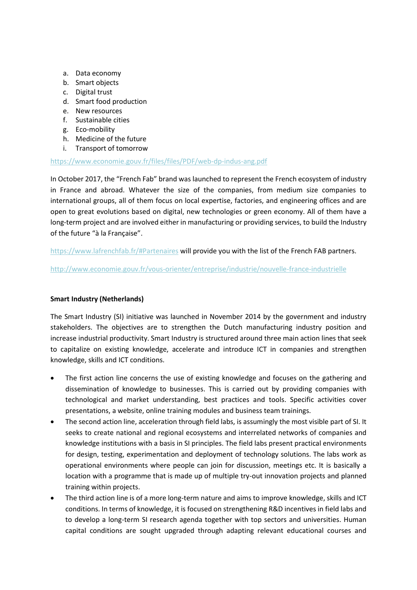- a. Data economy
- b. Smart objects
- c. Digital trust
- d. Smart food production
- e. New resources
- f. Sustainable cities
- g. Eco-mobility
- h. Medicine of the future
- i. Transport of tomorrow

#### <https://www.economie.gouv.fr/files/files/PDF/web-dp-indus-ang.pdf>

In October 2017, the "French Fab" brand was launched to represent the French ecosystem of industry in France and abroad. Whatever the size of the companies, from medium size companies to international groups, all of them focus on local expertise, factories, and engineering offices and are open to great evolutions based on digital, new technologies or green economy. All of them have a long-term project and are involved either in manufacturing or providing services, to build the Industry of the future "à la Française".

<https://www.lafrenchfab.fr/#Partenaires> will provide you with the list of the French FAB partners.

### <http://www.economie.gouv.fr/vous-orienter/entreprise/industrie/nouvelle-france-industrielle>

## **Smart Industry (Netherlands)**

The Smart Industry (SI) initiative was launched in November 2014 by the government and industry stakeholders. The objectives are to strengthen the Dutch manufacturing industry position and increase industrial productivity. Smart Industry is structured around three main action lines that seek to capitalize on existing knowledge, accelerate and introduce ICT in companies and strengthen knowledge, skills and ICT conditions.

- The first action line concerns the use of existing knowledge and focuses on the gathering and dissemination of knowledge to businesses. This is carried out by providing companies with technological and market understanding, best practices and tools. Specific activities cover presentations, a website, online training modules and business team trainings.
- The second action line, acceleration through field labs, is assumingly the most visible part of SI. It seeks to create national and regional ecosystems and interrelated networks of companies and knowledge institutions with a basis in SI principles. The field labs present practical environments for design, testing, experimentation and deployment of technology solutions. The labs work as operational environments where people can join for discussion, meetings etc. It is basically a location with a programme that is made up of multiple try-out innovation projects and planned training within projects.
- The third action line is of a more long-term nature and aims to improve knowledge, skills and ICT conditions. In terms of knowledge, it is focused on strengthening R&D incentives in field labs and to develop a long-term SI research agenda together with top sectors and universities. Human capital conditions are sought upgraded through adapting relevant educational courses and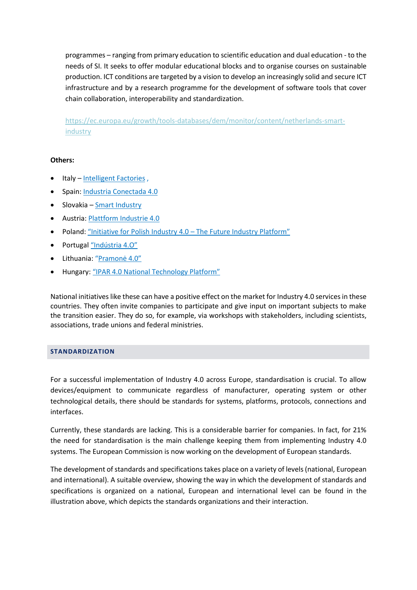programmes – ranging from primary education to scientific education and dual education - to the needs of SI. It seeks to offer modular educational blocks and to organise courses on sustainable production. ICT conditions are targeted by a vision to develop an increasingly solid and secure ICT infrastructure and by a research programme for the development of software tools that cover chain collaboration, interoperability and standardization.

[https://ec.europa.eu/growth/tools-databases/dem/monitor/content/netherlands-smart](https://ec.europa.eu/growth/tools-databases/dem/monitor/content/netherlands-smart-industry)[industry](https://ec.europa.eu/growth/tools-databases/dem/monitor/content/netherlands-smart-industry)

### **Others:**

- Italy [Intelligent Factories](http://www.fabbricaintelligente.it/en/) ,
- Spain: [Industria Conectada 4.0](https://ec.europa.eu/growth/tools-databases/dem/monitor/content/spain-industria-conectada-40)
- Slovakia [Smart Industry](http://www.smartindustrysk.com/)
- Austria: [Plattform Industrie 4.0](Austria:%20Plattform%20Industrie%204.0)
- Poland: ["Initiative for Polish Industry 4.0 –](https://ec.europa.eu/growth/tools-databases/dem/monitor/content/poland-%E2%80%9Cinitiative-polish-industry-40-%E2%80%93-future-industry-platform%E2%80%9D) The Future Industry Platform"
- Portugal ["Indústria 4.O"](https://ec.europa.eu/growth/tools-databases/dem/monitor/content/portugal-%E2%80%9Cind%C3%BAstria-4o%E2%80%9D)
- Lithuania: ["Pramonė 4.0"](https://ec.europa.eu/growth/tools-databases/dem/monitor/content/lithuania-%E2%80%9Cpramon%C4%97-40%E2%80%9D)
- Hungary: ["IPAR 4.0 National Technology Platform"](https://ec.europa.eu/growth/tools-databases/dem/monitor/content/hungary-%E2%80%9Cipar-40-national-technology-platform%E2%80%9D)

National initiatives like these can have a positive effect on the market for Industry 4.0 services in these countries. They often invite companies to participate and give input on important subjects to make the transition easier. They do so, for example, via workshops with stakeholders, including scientists, associations, trade unions and federal ministries.

#### **STANDARDIZATION**

For a successful implementation of Industry 4.0 across Europe, standardisation is crucial. To allow devices/equipment to communicate regardless of manufacturer, operating system or other technological details, there should be standards for systems, platforms, protocols, connections and interfaces.

Currently, these standards are lacking. This is a considerable barrier for companies. In fact, for 21% the need for standardisation is the main challenge keeping them from implementing Industry 4.0 systems. The European Commission is now working on the development of European standards.

The development of standards and specifications takes place on a variety of levels (national, European and international). A suitable overview, showing the way in which the development of standards and specifications is organized on a national, European and international level can be found in the illustration above, which depicts the standards organizations and their interaction.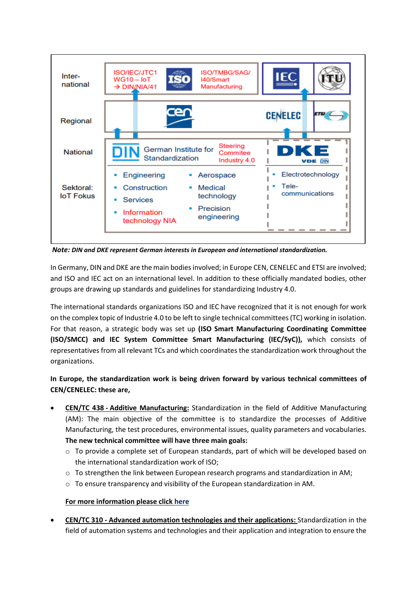

*Note: DIN and DKE represent German interests in European and international standardization.*

In Germany, DIN and DKE are the main bodies involved; in Europe CEN, CENELEC and ETSI are involved; and ISO and IEC act on an international level. In addition to these officially mandated bodies, other groups are drawing up standards and guidelines for standardizing Industry 4.0.

The international standards organizations ISO and IEC have recognized that it is not enough for work on the complex topic of Industrie 4.0 to be left to single technical committees (TC) working in isolation. For that reason, a strategic body was set up **(ISO Smart Manufacturing Coordinating Committee (ISO/SMCC) and IEC System Committee Smart Manufacturing (IEC/SyC)),** which consists of representatives from all relevant TCs and which coordinates the standardization work throughout the organizations.

**In Europe, the standardization work is being driven forward by various technical committees of CEN/CENELEC: these are,**

- **CEN/TC 438 - Additive Manufacturing:** Standardization in the field of Additive Manufacturing (AM): The main objective of the committee is to standardize the processes of Additive Manufacturing, the test procedures, environmental issues, quality parameters and vocabularies. **The new technical committee will have three main goals:**
	- o To provide a complete set of European standards, part of which will be developed based on the international standardization work of ISO;
	- $\circ$  To strengthen the link between European research programs and standardization in AM;
	- o To ensure transparency and visibility of the European standardization in AM.

## **For more information please click [here](https://standards.cen.eu/dyn/www/f?p=204:7:0::::FSP_ORG_ID:1961493&cs=1725A335494BA95FA4CC9FE85A6F6B4B1)**

• **CEN/TC 310 - Advanced automation technologies and their applications:** Standardization in the field of automation systems and technologies and their application and integration to ensure the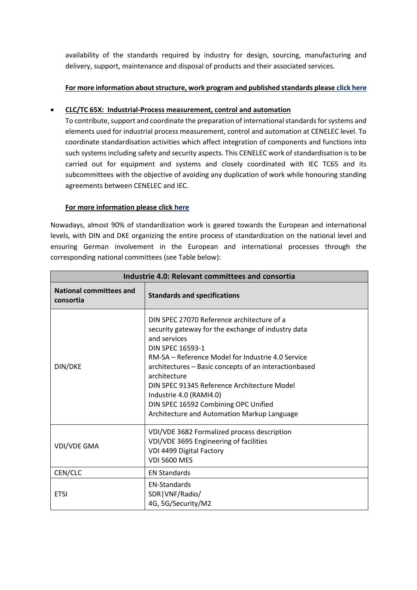availability of the standards required by industry for design, sourcing, manufacturing and delivery, support, maintenance and disposal of products and their associated services.

## **For more information about structure, work program and published standards pleas[e click here](https://standards.cen.eu/dyn/www/f?p=204:7:0::::FSP_ORG_ID:6291&cs=1FB8DE3E2415169C5A629164496F80A52)**

## • **CLC/TC 65X: Industrial-Process measurement, control and automation**

To contribute, support and coordinate the preparation of international standards for systems and elements used for industrial process measurement, control and automation at CENELEC level. To coordinate standardisation activities which affect integration of components and functions into such systems including safety and security aspects. This CENELEC work of standardisation is to be carried out for equipment and systems and closely coordinated with IEC TC65 and its subcommittees with the objective of avoiding any duplication of work while honouring standing agreements between CENELEC and IEC.

## **For more information please click [here](https://www.cenelec.eu/dyn/www/f?p=104:7:1217159685915001::::FSP_ORG_ID,FSP_LANG_ID:1257871,25)**

Nowadays, almost 90% of standardization work is geared towards the European and international levels, with DIN and DKE organizing the entire process of standardization on the national level and ensuring German involvement in the European and international processes through the corresponding national committees (see Table below):

| Industrie 4.0: Relevant committees and consortia |                                                                                                                                                                                                                                                                                                                                                                                                                                            |  |
|--------------------------------------------------|--------------------------------------------------------------------------------------------------------------------------------------------------------------------------------------------------------------------------------------------------------------------------------------------------------------------------------------------------------------------------------------------------------------------------------------------|--|
| <b>National committees and</b><br>consortia      | <b>Standards and specifications</b>                                                                                                                                                                                                                                                                                                                                                                                                        |  |
| DIN/DKE                                          | DIN SPEC 27070 Reference architecture of a<br>security gateway for the exchange of industry data<br>and services<br><b>DIN SPEC 16593-1</b><br>RM-SA – Reference Model for Industrie 4.0 Service<br>architectures - Basic concepts of an interactionbased<br>architecture<br>DIN SPEC 91345 Reference Architecture Model<br>Industrie 4.0 (RAMI4.0)<br>DIN SPEC 16592 Combining OPC Unified<br>Architecture and Automation Markup Language |  |
| <b>VDI/VDE GMA</b>                               | VDI/VDE 3682 Formalized process description<br>VDI/VDE 3695 Engineering of facilities<br>VDI 4499 Digital Factory<br><b>VDI 5600 MES</b>                                                                                                                                                                                                                                                                                                   |  |
| CEN/CLC                                          | <b>EN Standards</b>                                                                                                                                                                                                                                                                                                                                                                                                                        |  |
| <b>ETSI</b>                                      | <b>EN-Standards</b><br>SDR   VNF/Radio/<br>4G, 5G/Security/M2                                                                                                                                                                                                                                                                                                                                                                              |  |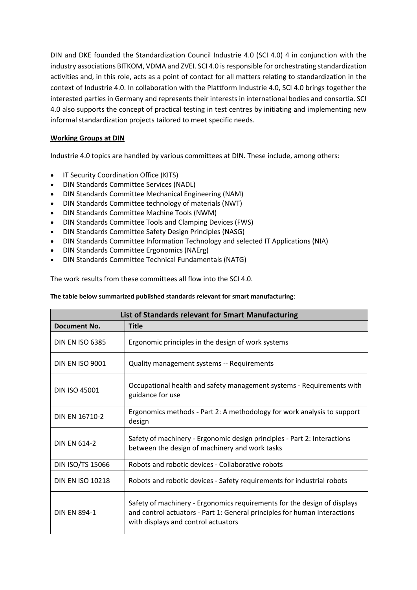DIN and DKE founded the Standardization Council Industrie 4.0 (SCI 4.0) 4 in conjunction with the industry associations BITKOM, VDMA and ZVEI. SCI 4.0 is responsible for orchestrating standardization activities and, in this role, acts as a point of contact for all matters relating to standardization in the context of Industrie 4.0. In collaboration with the Plattform Industrie 4.0, SCI 4.0 brings together the interested parties in Germany and represents their interests in international bodies and consortia. SCI 4.0 also supports the concept of practical testing in test centres by initiating and implementing new informal standardization projects tailored to meet specific needs.

## **Working Groups at DIN**

Industrie 4.0 topics are handled by various committees at DIN. These include, among others:

- IT Security [Coordination](https://www.din.de/en/din-and-our-partners/din-e-v/organization/coordination-offices/it-security-coordination-office-kits--76304) Office (KITS)
- DIN Standards [Committee](https://www.din.de/en/getting-involved/standards-committees/nadl/about-nadl-73344) Services (NADL)
- DIN Standards Committee Mechanical [Engineering](https://www.din.de/en/getting-involved/standards-committees/nam/about-nam-72882) (NAM)
- DIN Standards [Committee](https://www.din.de/en/getting-involved/standards-committees/nwt/about-nwt-74772) technology of materials (NWT)
- DIN Standards [Committee](https://www.din.de/en/getting-involved/standards-committees/nwm/about-nwm-63734) Machine Tools (NWM)
- DIN Standards [Committee](https://www.din.de/en/getting-involved/standards-committees/fws/about-fws-75790) Tools and Clamping Devices (FWS)
- DIN Standards [Committee](https://www.din.de/en/getting-involved/standards-committees/nasg/about-nasg-69832) Safety Design Principles (NASG)
- DIN Standards Committee Information Technology and selected IT [Applications](https://www.din.de/en/getting-involved/standards-committees/nia/about-nia-67774) (NIA)
- DIN Standards Committee [Ergonomics](https://www.din.de/en/getting-involved/standards-committees/naerg/about-naerg-66226) (NAErg)
- DIN Standards Committee Technical [Fundamentals](https://www.din.de/en/getting-involved/standards-committees/natg/about-natg-67796) (NATG)

The work results from these committees all flow into the SCI 4.0.

#### **The table below summarized published standards relevant for smart manufacturing**:

| List of Standards relevant for Smart Manufacturing |                                                                                                                                                                                              |  |
|----------------------------------------------------|----------------------------------------------------------------------------------------------------------------------------------------------------------------------------------------------|--|
| Document No.                                       | <b>Title</b>                                                                                                                                                                                 |  |
| <b>DIN EN ISO 6385</b>                             | Ergonomic principles in the design of work systems                                                                                                                                           |  |
| <b>DIN EN ISO 9001</b>                             | Quality management systems -- Requirements                                                                                                                                                   |  |
| <b>DIN ISO 45001</b>                               | Occupational health and safety management systems - Requirements with<br>guidance for use                                                                                                    |  |
| DIN EN 16710-2                                     | Ergonomics methods - Part 2: A methodology for work analysis to support<br>design                                                                                                            |  |
| <b>DIN FN 614-2</b>                                | Safety of machinery - Ergonomic design principles - Part 2: Interactions<br>between the design of machinery and work tasks                                                                   |  |
| DIN ISO/TS 15066                                   | Robots and robotic devices - Collaborative robots                                                                                                                                            |  |
| <b>DIN EN ISO 10218</b>                            | Robots and robotic devices - Safety requirements for industrial robots                                                                                                                       |  |
| <b>DIN EN 894-1</b>                                | Safety of machinery - Ergonomics requirements for the design of displays<br>and control actuators - Part 1: General principles for human interactions<br>with displays and control actuators |  |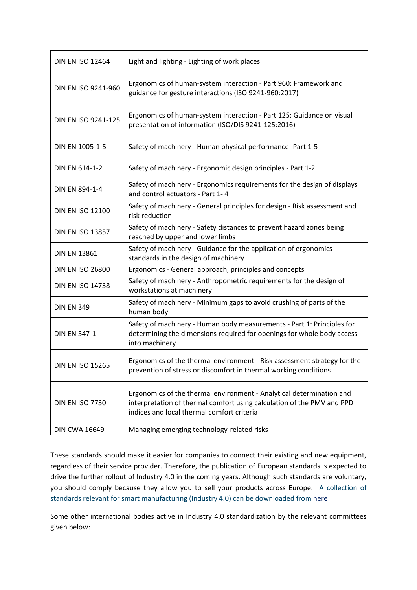| <b>DIN EN ISO 12464</b> | Light and lighting - Lighting of work places                                                                                                                                                 |
|-------------------------|----------------------------------------------------------------------------------------------------------------------------------------------------------------------------------------------|
| DIN EN ISO 9241-960     | Ergonomics of human-system interaction - Part 960: Framework and<br>guidance for gesture interactions (ISO 9241-960:2017)                                                                    |
| DIN EN ISO 9241-125     | Ergonomics of human-system interaction - Part 125: Guidance on visual<br>presentation of information (ISO/DIS 9241-125:2016)                                                                 |
| DIN EN 1005-1-5         | Safety of machinery - Human physical performance -Part 1-5                                                                                                                                   |
| <b>DIN EN 614-1-2</b>   | Safety of machinery - Ergonomic design principles - Part 1-2                                                                                                                                 |
| DIN EN 894-1-4          | Safety of machinery - Ergonomics requirements for the design of displays<br>and control actuators - Part 1-4                                                                                 |
| <b>DIN EN ISO 12100</b> | Safety of machinery - General principles for design - Risk assessment and<br>risk reduction                                                                                                  |
| <b>DIN EN ISO 13857</b> | Safety of machinery - Safety distances to prevent hazard zones being<br>reached by upper and lower limbs                                                                                     |
| <b>DIN EN 13861</b>     | Safety of machinery - Guidance for the application of ergonomics<br>standards in the design of machinery                                                                                     |
| <b>DIN EN ISO 26800</b> | Ergonomics - General approach, principles and concepts                                                                                                                                       |
| <b>DIN EN ISO 14738</b> | Safety of machinery - Anthropometric requirements for the design of<br>workstations at machinery                                                                                             |
| <b>DIN EN 349</b>       | Safety of machinery - Minimum gaps to avoid crushing of parts of the<br>human body                                                                                                           |
| <b>DIN EN 547-1</b>     | Safety of machinery - Human body measurements - Part 1: Principles for<br>determining the dimensions required for openings for whole body access<br>into machinery                           |
| <b>DIN EN ISO 15265</b> | Ergonomics of the thermal environment - Risk assessment strategy for the<br>prevention of stress or discomfort in thermal working conditions                                                 |
| <b>DIN EN ISO 7730</b>  | Ergonomics of the thermal environment - Analytical determination and<br>interpretation of thermal comfort using calculation of the PMV and PPD<br>indices and local thermal comfort criteria |
| <b>DIN CWA 16649</b>    | Managing emerging technology-related risks                                                                                                                                                   |

These standards should make it easier for companies to connect their existing and new equipment, regardless of their service provider. Therefore, the publication of European standards is expected to drive the further rollout of Industry 4.0 in the coming years. Although such standards are voluntary, you should comply because they allow you to sell your products across Europe. A collection of standards relevant for smart manufacturing (Industry 4.0) can be downloaded from [here](https://www.din.de/blob/271788/959ae1f652cba415fad1ce805ddc9ad5/standards-industry-40-data.xlsx)

Some other international bodies active in Industry 4.0 standardization by the relevant committees given below: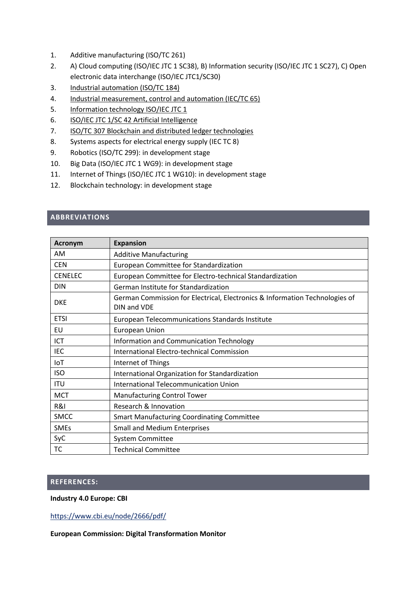- 1. Additive manufacturing (ISO/TC 261)
- 2. A) Cloud computing (ISO/IEC JTC 1 SC38), B) Information security (ISO/IEC JTC 1 SC27), C) Open electronic data interchange (ISO/IEC JTC1/SC30)
- 3. [Industrial automation \(ISO/TC 184\)](https://www.iso.org/committee/54110.html)
- 4. [Industrial measurement, control and automation \(IEC/TC 65\)](http://www.iec.ch/dyn/www/f?p=103:7:0::::FSP_ORG_ID,FSP_LANG_ID:1250,25)
- 5. [Information technology ISO/IEC JTC 1](https://www.iso.org/committee/45020.html)
- 6. ISO/IEC JTC 1/SC 42 Artificial [Intelligence](https://www.din.de/en/getting-involved/standards-committees/nia/national-committees/wdc-grem:din21:284801493?sourceLanguage&destinationLanguage)
- 7. ISO/TC 307 Blockchain and distributed ledger [technologies](https://www.din.de/en/getting-involved/standards-committees/nia/international-committees/wdc-grem:din21:263606771?sourceLanguage&destinationLanguage)
- 8. Systems aspects for electrical energy supply (IEC TC 8)
- 9. Robotics (ISO/TC 299): in development stage
- 10. Big Data (ISO/IEC JTC 1 WG9): in development stage
- 11. Internet of Things (ISO/IEC JTC 1 WG10): in development stage
- 12. Blockchain technology: in development stage

## **ABBREVIATIONS**

| <b>Acronym</b> | <b>Expansion</b>                                                                           |
|----------------|--------------------------------------------------------------------------------------------|
| AM             | <b>Additive Manufacturing</b>                                                              |
| <b>CEN</b>     | European Committee for Standardization                                                     |
| <b>CENELEC</b> | European Committee for Electro-technical Standardization                                   |
| <b>DIN</b>     | German Institute for Standardization                                                       |
| <b>DKE</b>     | German Commission for Electrical, Electronics & Information Technologies of<br>DIN and VDE |
| <b>ETSI</b>    | European Telecommunications Standards Institute                                            |
| EU             | <b>European Union</b>                                                                      |
| ICT            | Information and Communication Technology                                                   |
| <b>IEC</b>     | International Electro-technical Commission                                                 |
| IoT            | Internet of Things                                                                         |
| <b>ISO</b>     | International Organization for Standardization                                             |
| <b>ITU</b>     | <b>International Telecommunication Union</b>                                               |
| <b>MCT</b>     | <b>Manufacturing Control Tower</b>                                                         |
| R&I            | Research & Innovation                                                                      |
| <b>SMCC</b>    | <b>Smart Manufacturing Coordinating Committee</b>                                          |
| <b>SMEs</b>    | <b>Small and Medium Enterprises</b>                                                        |
| SyC            | <b>System Committee</b>                                                                    |
| тс             | <b>Technical Committee</b>                                                                 |

#### **REFERENCES:**

#### **Industry 4.0 Europe: CBI**

<https://www.cbi.eu/node/2666/pdf/>

**European Commission: Digital Transformation Monitor**